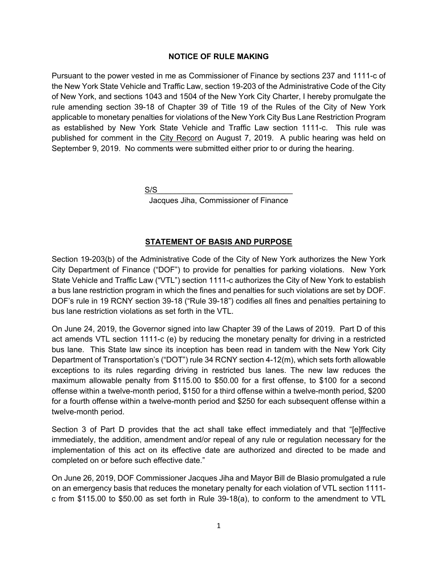## **NOTICE OF RULE MAKING**

Pursuant to the power vested in me as Commissioner of Finance by sections 237 and 1111-c of the New York State Vehicle and Traffic Law, section 19-203 of the Administrative Code of the City of New York, and sections 1043 and 1504 of the New York City Charter, I hereby promulgate the rule amending section 39-18 of Chapter 39 of Title 19 of the Rules of the City of New York applicable to monetary penalties for violations of the New York City Bus Lane Restriction Program as established by New York State Vehicle and Traffic Law section 1111-c. This rule was published for comment in the City Record on August 7, 2019. A public hearing was held on September 9, 2019. No comments were submitted either prior to or during the hearing.

 $S/S$ 

Jacques Jiha, Commissioner of Finance

## **STATEMENT OF BASIS AND PURPOSE**

Section 19-203(b) of the Administrative Code of the City of New York authorizes the New York City Department of Finance ("DOF") to provide for penalties for parking violations. New York State Vehicle and Traffic Law ("VTL") section 1111-c authorizes the City of New York to establish a bus lane restriction program in which the fines and penalties for such violations are set by DOF. DOF's rule in 19 RCNY section 39-18 ("Rule 39-18") codifies all fines and penalties pertaining to bus lane restriction violations as set forth in the VTL.

On June 24, 2019, the Governor signed into law Chapter 39 of the Laws of 2019. Part D of this act amends VTL section 1111-c (e) by reducing the monetary penalty for driving in a restricted bus lane. This State law since its inception has been read in tandem with the New York City Department of Transportation's ("DOT") rule 34 RCNY section 4-12(m), which sets forth allowable exceptions to its rules regarding driving in restricted bus lanes. The new law reduces the maximum allowable penalty from \$115.00 to \$50.00 for a first offense, to \$100 for a second offense within a twelve-month period, \$150 for a third offense within a twelve-month period, \$200 for a fourth offense within a twelve-month period and \$250 for each subsequent offense within a twelve-month period.

Section 3 of Part D provides that the act shall take effect immediately and that "[e]ffective immediately, the addition, amendment and/or repeal of any rule or regulation necessary for the implementation of this act on its effective date are authorized and directed to be made and completed on or before such effective date."

On June 26, 2019, DOF Commissioner Jacques Jiha and Mayor Bill de Blasio promulgated a rule on an emergency basis that reduces the monetary penalty for each violation of VTL section 1111 c from \$115.00 to \$50.00 as set forth in Rule 39-18(a), to conform to the amendment to VTL